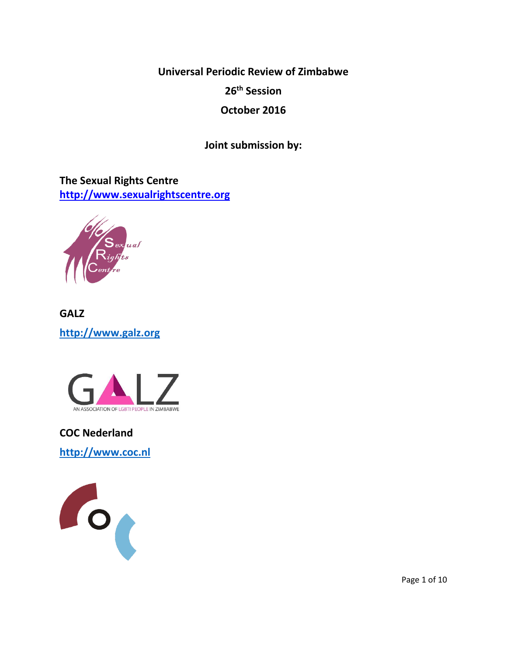**Universal Periodic Review of Zimbabwe**

**26th Session**

**October 2016**

**Joint submission by:**

**The Sexual Rights Centre [http://www.sexualrightscentre.org](http://www.sexualrightscentre.org/)**



**GALZ [http://www.galz.org](http://www.galz.org/)**



**COC Nederland [http://www.coc.nl](http://www.coc.nl/)**



Page 1 of 10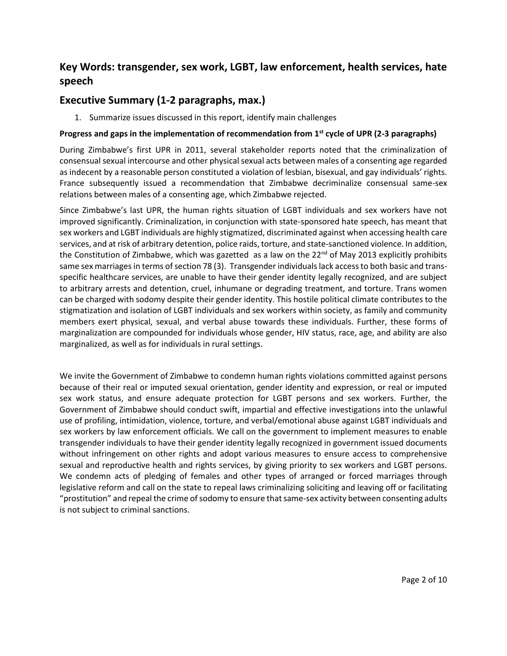# **Key Words: transgender, sex work, LGBT, law enforcement, health services, hate speech**

## **Executive Summary (1-2 paragraphs, max.)**

1. Summarize issues discussed in this report, identify main challenges

## **Progress and gaps in the implementation of recommendation from 1st cycle of UPR (2-3 paragraphs)**

During Zimbabwe's first UPR in 2011, several stakeholder reports noted that the criminalization of consensual sexual intercourse and other physical sexual acts between males of a consenting age regarded as indecent by a reasonable person constituted a violation of lesbian, bisexual, and gay individuals' rights. France subsequently issued a recommendation that Zimbabwe decriminalize consensual same-sex relations between males of a consenting age, which Zimbabwe rejected.

Since Zimbabwe's last UPR, the human rights situation of LGBT individuals and sex workers have not improved significantly. Criminalization, in conjunction with state-sponsored hate speech, has meant that sex workers and LGBT individuals are highly stigmatized, discriminated against when accessing health care services, and at risk of arbitrary detention, police raids, torture, and state-sanctioned violence. In addition, the Constitution of Zimbabwe, which was gazetted as a law on the 22<sup>nd</sup> of May 2013 explicitly prohibits same sex marriages in terms of section 78 (3). Transgender individuals lack access to both basic and transspecific healthcare services, are unable to have their gender identity legally recognized, and are subject to arbitrary arrests and detention, cruel, inhumane or degrading treatment, and torture. Trans women can be charged with sodomy despite their gender identity. This hostile political climate contributes to the stigmatization and isolation of LGBT individuals and sex workers within society, as family and community members exert physical, sexual, and verbal abuse towards these individuals. Further, these forms of marginalization are compounded for individuals whose gender, HIV status, race, age, and ability are also marginalized, as well as for individuals in rural settings.

We invite the Government of Zimbabwe to condemn human rights violations committed against persons because of their real or imputed sexual orientation, gender identity and expression, or real or imputed sex work status, and ensure adequate protection for LGBT persons and sex workers. Further, the Government of Zimbabwe should conduct swift, impartial and effective investigations into the unlawful use of profiling, intimidation, violence, torture, and verbal/emotional abuse against LGBT individuals and sex workers by law enforcement officials. We call on the government to implement measures to enable transgender individuals to have their gender identity legally recognized in government issued documents without infringement on other rights and adopt various measures to ensure access to comprehensive sexual and reproductive health and rights services, by giving priority to sex workers and LGBT persons. We condemn acts of pledging of females and other types of arranged or forced marriages through legislative reform and call on the state to repeal laws criminalizing soliciting and leaving off or facilitating "prostitution" and repeal the crime of sodomy to ensure that same-sex activity between consenting adults is not subject to criminal sanctions.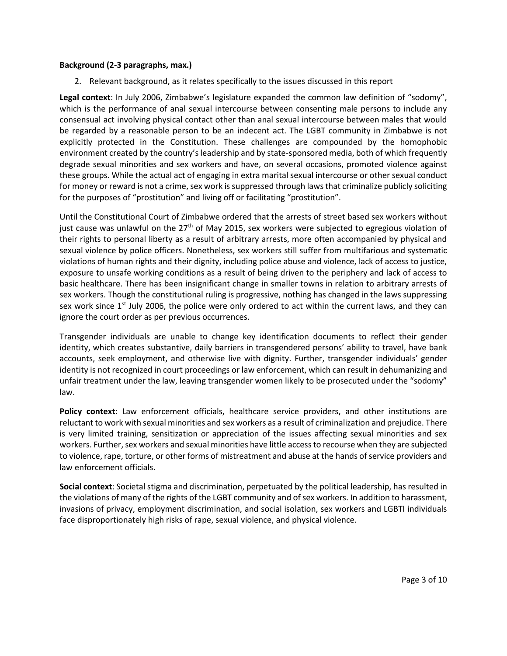#### **Background (2-3 paragraphs, max.)**

2. Relevant background, as it relates specifically to the issues discussed in this report

**Legal context**: In July 2006, Zimbabwe's legislature expanded the common law definition of "sodomy", which is the performance of anal sexual intercourse between consenting male persons to include any consensual act involving physical contact other than anal sexual intercourse between males that would be regarded by a reasonable person to be an indecent act. The LGBT community in Zimbabwe is not explicitly protected in the Constitution. These challenges are compounded by the homophobic environment created by the country's leadership and by state-sponsored media, both of which frequently degrade sexual minorities and sex workers and have, on several occasions, promoted violence against these groups. While the actual act of engaging in extra marital sexual intercourse or other sexual conduct for money or reward is not a crime, sex work is suppressed through laws that criminalize publicly soliciting for the purposes of "prostitution" and living off or facilitating "prostitution".

Until the Constitutional Court of Zimbabwe ordered that the arrests of street based sex workers without just cause was unlawful on the 27<sup>th</sup> of May 2015, sex workers were subjected to egregious violation of their rights to personal liberty as a result of arbitrary arrests, more often accompanied by physical and sexual violence by police officers. Nonetheless, sex workers still suffer from multifarious and systematic violations of human rights and their dignity, including police abuse and violence, lack of access to justice, exposure to unsafe working conditions as a result of being driven to the periphery and lack of access to basic healthcare. There has been insignificant change in smaller towns in relation to arbitrary arrests of sex workers. Though the constitutional ruling is progressive, nothing has changed in the laws suppressing sex work since  $1<sup>st</sup>$  July 2006, the police were only ordered to act within the current laws, and they can ignore the court order as per previous occurrences.

Transgender individuals are unable to change key identification documents to reflect their gender identity, which creates substantive, daily barriers in transgendered persons' ability to travel, have bank accounts, seek employment, and otherwise live with dignity. Further, transgender individuals' gender identity is not recognized in court proceedings or law enforcement, which can result in dehumanizing and unfair treatment under the law, leaving transgender women likely to be prosecuted under the "sodomy" law.

**Policy context**: Law enforcement officials, healthcare service providers, and other institutions are reluctant to work with sexual minorities and sex workers as a result of criminalization and prejudice. There is very limited training, sensitization or appreciation of the issues affecting sexual minorities and sex workers. Further, sex workers and sexual minorities have little access to recourse when they are subjected to violence, rape, torture, or other forms of mistreatment and abuse at the hands of service providers and law enforcement officials.

**Social context**: Societal stigma and discrimination, perpetuated by the political leadership, has resulted in the violations of many of the rights of the LGBT community and of sex workers. In addition to harassment, invasions of privacy, employment discrimination, and social isolation, sex workers and LGBTI individuals face disproportionately high risks of rape, sexual violence, and physical violence.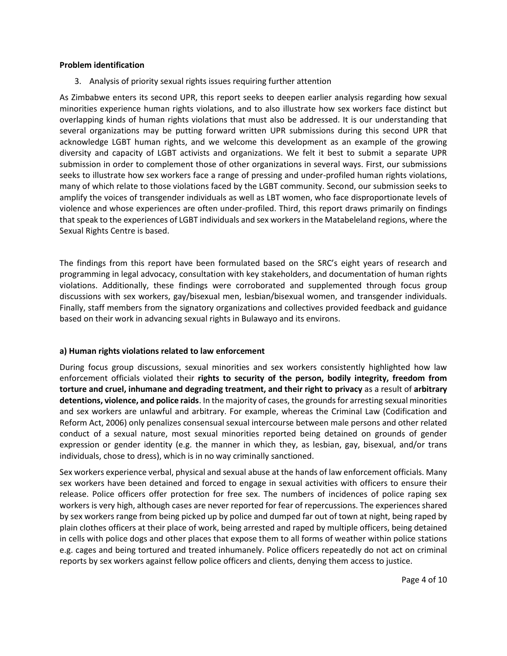#### **Problem identification**

3. Analysis of priority sexual rights issues requiring further attention

As Zimbabwe enters its second UPR, this report seeks to deepen earlier analysis regarding how sexual minorities experience human rights violations, and to also illustrate how sex workers face distinct but overlapping kinds of human rights violations that must also be addressed. It is our understanding that several organizations may be putting forward written UPR submissions during this second UPR that acknowledge LGBT human rights, and we welcome this development as an example of the growing diversity and capacity of LGBT activists and organizations. We felt it best to submit a separate UPR submission in order to complement those of other organizations in several ways. First, our submissions seeks to illustrate how sex workers face a range of pressing and under-profiled human rights violations, many of which relate to those violations faced by the LGBT community. Second, our submission seeks to amplify the voices of transgender individuals as well as LBT women, who face disproportionate levels of violence and whose experiences are often under-profiled. Third, this report draws primarily on findings that speak to the experiences of LGBT individuals and sex workers in the Matabeleland regions, where the Sexual Rights Centre is based.

The findings from this report have been formulated based on the SRC's eight years of research and programming in legal advocacy, consultation with key stakeholders, and documentation of human rights violations. Additionally, these findings were corroborated and supplemented through focus group discussions with sex workers, gay/bisexual men, lesbian/bisexual women, and transgender individuals. Finally, staff members from the signatory organizations and collectives provided feedback and guidance based on their work in advancing sexual rights in Bulawayo and its environs.

## **a) Human rights violations related to law enforcement**

During focus group discussions, sexual minorities and sex workers consistently highlighted how law enforcement officials violated their **rights to security of the person, bodily integrity, freedom from torture and cruel, inhumane and degrading treatment, and their right to privacy** as a result of **arbitrary detentions, violence, and police raids**. In the majority of cases, the grounds for arresting sexual minorities and sex workers are unlawful and arbitrary. For example, whereas the Criminal Law (Codification and Reform Act, 2006) only penalizes consensual sexual intercourse between male persons and other related conduct of a sexual nature, most sexual minorities reported being detained on grounds of gender expression or gender identity (e.g. the manner in which they, as lesbian, gay, bisexual, and/or trans individuals, chose to dress), which is in no way criminally sanctioned.

Sex workers experience verbal, physical and sexual abuse at the hands of law enforcement officials. Many sex workers have been detained and forced to engage in sexual activities with officers to ensure their release. Police officers offer protection for free sex. The numbers of incidences of police raping sex workers is very high, although cases are never reported for fear of repercussions. The experiences shared by sex workers range from being picked up by police and dumped far out of town at night, being raped by plain clothes officers at their place of work, being arrested and raped by multiple officers, being detained in cells with police dogs and other places that expose them to all forms of weather within police stations e.g. cages and being tortured and treated inhumanely. Police officers repeatedly do not act on criminal reports by sex workers against fellow police officers and clients, denying them access to justice.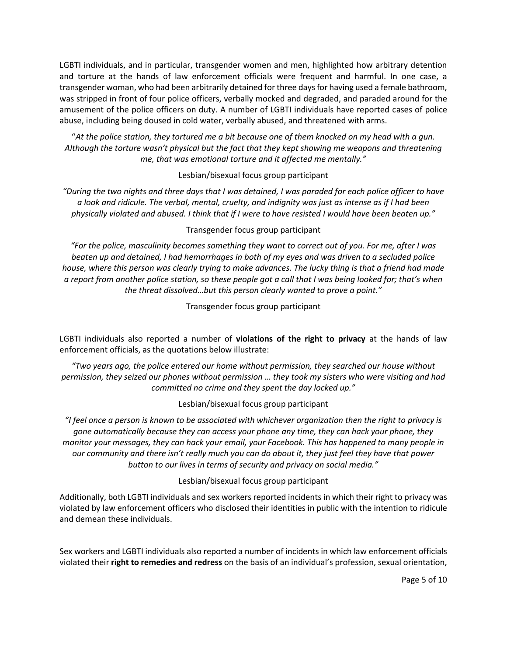LGBTI individuals, and in particular, transgender women and men, highlighted how arbitrary detention and torture at the hands of law enforcement officials were frequent and harmful. In one case, a transgender woman, who had been arbitrarily detained for three days for having used a female bathroom, was stripped in front of four police officers, verbally mocked and degraded, and paraded around for the amusement of the police officers on duty. A number of LGBTI individuals have reported cases of police abuse, including being doused in cold water, verbally abused, and threatened with arms.

"*At the police station, they tortured me a bit because one of them knocked on my head with a gun. Although the torture wasn't physical but the fact that they kept showing me weapons and threatening me, that was emotional torture and it affected me mentally."*

#### Lesbian/bisexual focus group participant

*"During the two nights and three days that I was detained, I was paraded for each police officer to have a look and ridicule. The verbal, mental, cruelty, and indignity was just as intense as if I had been physically violated and abused. I think that if I were to have resisted I would have been beaten up."*

#### Transgender focus group participant

*"For the police, masculinity becomes something they want to correct out of you. For me, after I was beaten up and detained, I had hemorrhages in both of my eyes and was driven to a secluded police house, where this person was clearly trying to make advances. The lucky thing is that a friend had made a report from another police station, so these people got a call that I was being looked for; that's when the threat dissolved…but this person clearly wanted to prove a point."*

Transgender focus group participant

LGBTI individuals also reported a number of **violations of the right to privacy** at the hands of law enforcement officials, as the quotations below illustrate:

*"Two years ago, the police entered our home without permission, they searched our house without permission, they seized our phones without permission … they took my sisters who were visiting and had committed no crime and they spent the day locked up."*

Lesbian/bisexual focus group participant

*"I feel once a person is known to be associated with whichever organization then the right to privacy is gone automatically because they can access your phone any time, they can hack your phone, they monitor your messages, they can hack your email, your Facebook. This has happened to many people in our community and there isn't really much you can do about it, they just feel they have that power button to our lives in terms of security and privacy on social media."*

Lesbian/bisexual focus group participant

Additionally, both LGBTI individuals and sex workers reported incidents in which their right to privacy was violated by law enforcement officers who disclosed their identities in public with the intention to ridicule and demean these individuals.

Sex workers and LGBTI individuals also reported a number of incidents in which law enforcement officials violated their **right to remedies and redress** on the basis of an individual's profession, sexual orientation,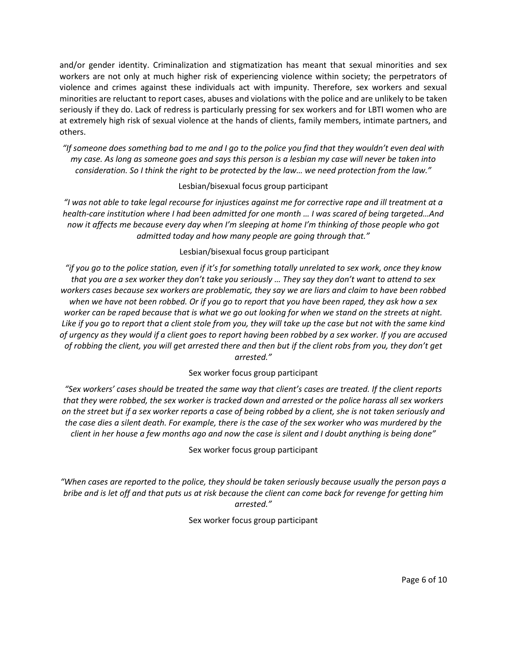and/or gender identity. Criminalization and stigmatization has meant that sexual minorities and sex workers are not only at much higher risk of experiencing violence within society; the perpetrators of violence and crimes against these individuals act with impunity. Therefore, sex workers and sexual minorities are reluctant to report cases, abuses and violations with the police and are unlikely to be taken seriously if they do. Lack of redress is particularly pressing for sex workers and for LBTI women who are at extremely high risk of sexual violence at the hands of clients, family members, intimate partners, and others.

*"If someone does something bad to me and I go to the police you find that they wouldn't even deal with my case. As long as someone goes and says this person is a lesbian my case will never be taken into consideration. So I think the right to be protected by the law… we need protection from the law."*

## Lesbian/bisexual focus group participant

*"I was not able to take legal recourse for injustices against me for corrective rape and ill treatment at a health-care institution where I had been admitted for one month … I was scared of being targeted…And now it affects me because every day when I'm sleeping at home I'm thinking of those people who got admitted today and how many people are going through that."*

## Lesbian/bisexual focus group participant

*"if you go to the police station, even if it's for something totally unrelated to sex work, once they know that you are a sex worker they don't take you seriously … They say they don't want to attend to sex workers cases because sex workers are problematic, they say we are liars and claim to have been robbed when we have not been robbed. Or if you go to report that you have been raped, they ask how a sex worker can be raped because that is what we go out looking for when we stand on the streets at night. Like if you go to report that a client stole from you, they will take up the case but not with the same kind of urgency as they would if a client goes to report having been robbed by a sex worker. If you are accused of robbing the client, you will get arrested there and then but if the client robs from you, they don't get arrested."*

## Sex worker focus group participant

*"Sex workers' cases should be treated the same way that client's cases are treated. If the client reports that they were robbed, the sex worker is tracked down and arrested or the police harass all sex workers on the street but if a sex worker reports a case of being robbed by a client, she is not taken seriously and the case dies a silent death. For example, there is the case of the sex worker who was murdered by the client in her house a few months ago and now the case is silent and I doubt anything is being done"*

Sex worker focus group participant

*"When cases are reported to the police, they should be taken seriously because usually the person pays a bribe and is let off and that puts us at risk because the client can come back for revenge for getting him arrested."*

Sex worker focus group participant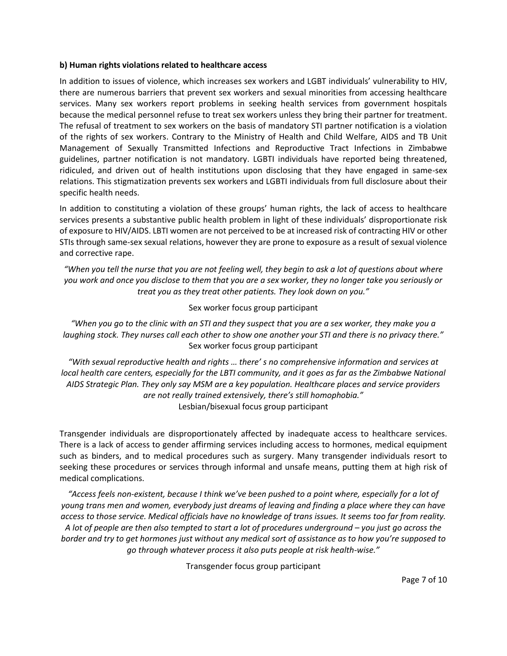#### **b) Human rights violations related to healthcare access**

In addition to issues of violence, which increases sex workers and LGBT individuals' vulnerability to HIV, there are numerous barriers that prevent sex workers and sexual minorities from accessing healthcare services. Many sex workers report problems in seeking health services from government hospitals because the medical personnel refuse to treat sex workers unless they bring their partner for treatment. The refusal of treatment to sex workers on the basis of mandatory STI partner notification is a violation of the rights of sex workers. Contrary to the Ministry of Health and Child Welfare, AIDS and TB Unit Management of Sexually Transmitted Infections and Reproductive Tract Infections in Zimbabwe guidelines, partner notification is not mandatory. LGBTI individuals have reported being threatened, ridiculed, and driven out of health institutions upon disclosing that they have engaged in same-sex relations. This stigmatization prevents sex workers and LGBTI individuals from full disclosure about their specific health needs.

In addition to constituting a violation of these groups' human rights, the lack of access to healthcare services presents a substantive public health problem in light of these individuals' disproportionate risk of exposure to HIV/AIDS. LBTI women are not perceived to be at increased risk of contracting HIV or other STIs through same-sex sexual relations, however they are prone to exposure as a result of sexual violence and corrective rape.

*"When you tell the nurse that you are not feeling well, they begin to ask a lot of questions about where you work and once you disclose to them that you are a sex worker, they no longer take you seriously or treat you as they treat other patients. They look down on you."*

## Sex worker focus group participant

*"When you go to the clinic with an STI and they suspect that you are a sex worker, they make you a laughing stock. They nurses call each other to show one another your STI and there is no privacy there."* Sex worker focus group participant

*"With sexual reproductive health and rights … there' s no comprehensive information and services at local health care centers, especially for the LBTI community, and it goes as far as the Zimbabwe National AIDS Strategic Plan. They only say MSM are a key population. Healthcare places and service providers are not really trained extensively, there's still homophobia."* Lesbian/bisexual focus group participant

Transgender individuals are disproportionately affected by inadequate access to healthcare services. There is a lack of access to gender affirming services including access to hormones, medical equipment such as binders, and to medical procedures such as surgery. Many transgender individuals resort to seeking these procedures or services through informal and unsafe means, putting them at high risk of medical complications.

*"Access feels non-existent, because I think we've been pushed to a point where, especially for a lot of young trans men and women, everybody just dreams of leaving and finding a place where they can have access to those service. Medical officials have no knowledge of trans issues. It seems too far from reality. A lot of people are then also tempted to start a lot of procedures underground – you just go across the border and try to get hormones just without any medical sort of assistance as to how you're supposed to go through whatever process it also puts people at risk health-wise."*

Transgender focus group participant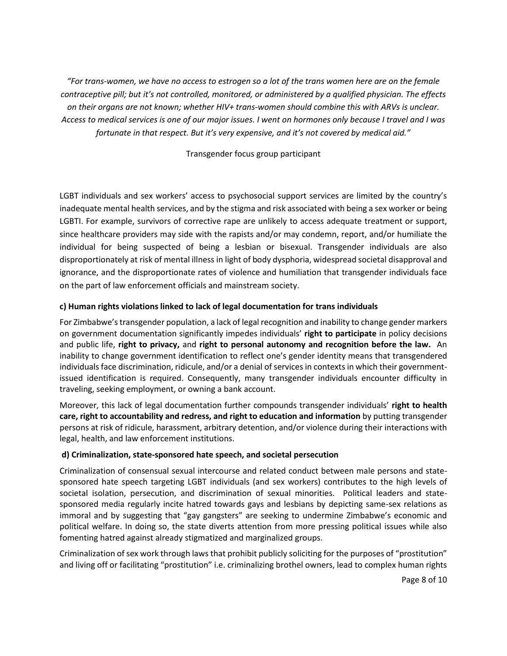*"For trans-women, we have no access to estrogen so a lot of the trans women here are on the female contraceptive pill; but it's not controlled, monitored, or administered by a qualified physician. The effects on their organs are not known; whether HIV+ trans-women should combine this with ARVs is unclear. Access to medical services is one of our major issues. I went on hormones only because I travel and I was fortunate in that respect. But it's very expensive, and it's not covered by medical aid."*

Transgender focus group participant

LGBT individuals and sex workers' access to psychosocial support services are limited by the country's inadequate mental health services, and by the stigma and risk associated with being a sex worker or being LGBTI. For example, survivors of corrective rape are unlikely to access adequate treatment or support, since healthcare providers may side with the rapists and/or may condemn, report, and/or humiliate the individual for being suspected of being a lesbian or bisexual. Transgender individuals are also disproportionately at risk of mental illness in light of body dysphoria, widespread societal disapproval and ignorance, and the disproportionate rates of violence and humiliation that transgender individuals face on the part of law enforcement officials and mainstream society.

## **c) Human rights violations linked to lack of legal documentation for trans individuals**

For Zimbabwe's transgender population, a lack of legal recognition and inability to change gender markers on government documentation significantly impedes individuals' **right to participate** in policy decisions and public life, **right to privacy,** and **right to personal autonomy and recognition before the law.** An inability to change government identification to reflect one's gender identity means that transgendered individuals face discrimination, ridicule, and/or a denial of services in contexts in which their governmentissued identification is required. Consequently, many transgender individuals encounter difficulty in traveling, seeking employment, or owning a bank account.

Moreover, this lack of legal documentation further compounds transgender individuals' **right to health care, right to accountability and redress, and right to education and information** by putting transgender persons at risk of ridicule, harassment, arbitrary detention, and/or violence during their interactions with legal, health, and law enforcement institutions.

## **d) Criminalization, state-sponsored hate speech, and societal persecution**

Criminalization of consensual sexual intercourse and related conduct between male persons and statesponsored hate speech targeting LGBT individuals (and sex workers) contributes to the high levels of societal isolation, persecution, and discrimination of sexual minorities. Political leaders and statesponsored media regularly incite hatred towards gays and lesbians by depicting same-sex relations as immoral and by suggesting that "gay gangsters" are seeking to undermine Zimbabwe's economic and political welfare. In doing so, the state diverts attention from more pressing political issues while also fomenting hatred against already stigmatized and marginalized groups.

Criminalization of sex work through laws that prohibit publicly soliciting for the purposes of "prostitution" and living off or facilitating "prostitution" i.e. criminalizing brothel owners, lead to complex human rights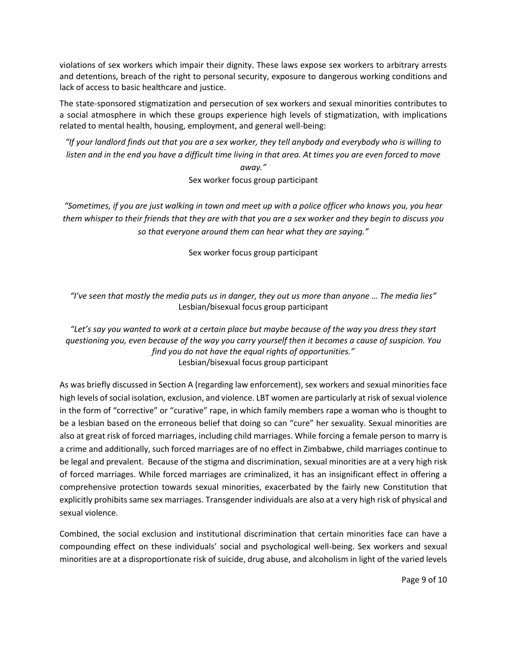violations of sex workers which impair their dignity. These laws expose sex workers to arbitrary arrests and detentions, breach of the right to personal security, exposure to dangerous working conditions and lack of access to basic healthcare and justice.

The state-sponsored stigmatization and persecution of sex workers and sexual minorities contributes to a social atmosphere in which these groups experience high levels of stigmatization, with implications related to mental health, housing, employment, and general well-being:

*"If your landlord finds out that you are a sex worker, they tell anybody and everybody who is willing to listen and in the end you have a difficult time living in that area. At times you are even forced to move away."*

Sex worker focus group participant

*"Sometimes, if you are just walking in town and meet up with a police officer who knows you, you hear them whisper to their friends that they are with that you are a sex worker and they begin to discuss you so that everyone around them can hear what they are saying."* 

Sex worker focus group participant

*"I've seen that mostly the media puts us in danger, they out us more than anyone … The media lies"* Lesbian/bisexual focus group participant

*"Let's say you wanted to work at a certain place but maybe because of the way you dress they start questioning you, even because of the way you carry yourself then it becomes a cause of suspicion. You find you do not have the equal rights of opportunities."* Lesbian/bisexual focus group participant

As was briefly discussed in Section A (regarding law enforcement), sex workers and sexual minorities face high levels of social isolation, exclusion, and violence. LBT women are particularly at risk of sexual violence in the form of "corrective" or "curative" rape, in which family members rape a woman who is thought to be a lesbian based on the erroneous belief that doing so can "cure" her sexuality. Sexual minorities are also at great risk of forced marriages, including child marriages. While forcing a female person to marry is a crime and additionally, such forced marriages are of no effect in Zimbabwe, child marriages continue to be legal and prevalent. Because of the stigma and discrimination, sexual minorities are at a very high risk of forced marriages. While forced marriages are criminalized, it has an insignificant effect in offering a comprehensive protection towards sexual minorities, exacerbated by the fairly new Constitution that explicitly prohibits same sex marriages. Transgender individuals are also at a very high risk of physical and sexual violence.

Combined, the social exclusion and institutional discrimination that certain minorities face can have a compounding effect on these individuals' social and psychological well-being. Sex workers and sexual minorities are at a disproportionate risk of suicide, drug abuse, and alcoholism in light of the varied levels